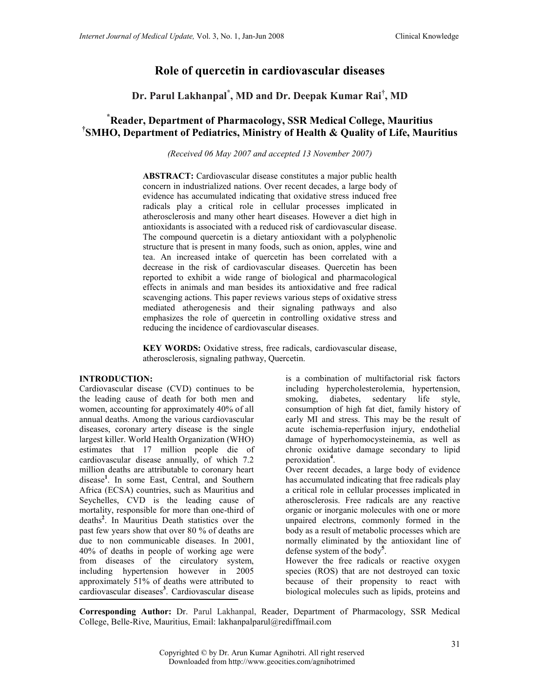# Role of quercetin in cardiovascular diseases

Dr. Parul Lakhanpal\* , MD and Dr. Deepak Kumar Rai† , MD

## \*Reader, Department of Pharmacology, SSR Medical College, Mauritius † SMHO, Department of Pediatrics, Ministry of Health & Quality of Life, Mauritius

(Received 06 May 2007 and accepted 13 November 2007)

ABSTRACT: Cardiovascular disease constitutes a major public health concern in industrialized nations. Over recent decades, a large body of evidence has accumulated indicating that oxidative stress induced free radicals play a critical role in cellular processes implicated in atherosclerosis and many other heart diseases. However a diet high in antioxidants is associated with a reduced risk of cardiovascular disease. The compound quercetin is a dietary antioxidant with a polyphenolic structure that is present in many foods, such as onion, apples, wine and tea. An increased intake of quercetin has been correlated with a decrease in the risk of cardiovascular diseases. Quercetin has been reported to exhibit a wide range of biological and pharmacological effects in animals and man besides its antioxidative and free radical scavenging actions. This paper reviews various steps of oxidative stress mediated atherogenesis and their signaling pathways and also emphasizes the role of quercetin in controlling oxidative stress and reducing the incidence of cardiovascular diseases.

KEY WORDS: Oxidative stress, free radicals, cardiovascular disease, atherosclerosis, signaling pathway, Quercetin.

#### INTRODUCTION:

Cardiovascular disease (CVD) continues to be the leading cause of death for both men and women, accounting for approximately 40% of all annual deaths. Among the various cardiovascular diseases, coronary artery disease is the single largest killer. World Health Organization (WHO) estimates that 17 million people die of cardiovascular disease annually, of which 7.2 million deaths are attributable to coronary heart disease<sup>1</sup>. In some East, Central, and Southern Africa (ECSA) countries, such as Mauritius and Seychelles, CVD is the leading cause of mortality, responsible for more than one-third of deaths<sup>2</sup>. In Mauritius Death statistics over the past few years show that over 80 % of deaths are due to non communicable diseases. In 2001, 40% of deaths in people of working age were from diseases of the circulatory system, including hypertension however in 2005 approximately 51% of deaths were attributed to cardiovascular diseases<sup>3</sup>. Cardiovascular disease

is a combination of multifactorial risk factors including hypercholesterolemia, hypertension, smoking, diabetes, sedentary life style, consumption of high fat diet, family history of early MI and stress. This may be the result of acute ischemia-reperfusion injury, endothelial damage of hyperhomocysteinemia, as well as chronic oxidative damage secondary to lipid peroxidation<sup>4</sup>.

Over recent decades, a large body of evidence has accumulated indicating that free radicals play a critical role in cellular processes implicated in atherosclerosis. Free radicals are any reactive organic or inorganic molecules with one or more unpaired electrons, commonly formed in the body as a result of metabolic processes which are normally eliminated by the antioxidant line of defense system of the body<sup>5</sup>.

However the free radicals or reactive oxygen species (ROS) that are not destroyed can toxic because of their propensity to react with biological molecules such as lipids, proteins and

Corresponding Author: Dr. Parul Lakhanpal, Reader, Department of Pharmacology, SSR Medical College, Belle-Rive, Mauritius, Email: lakhanpalparul@rediffmail.com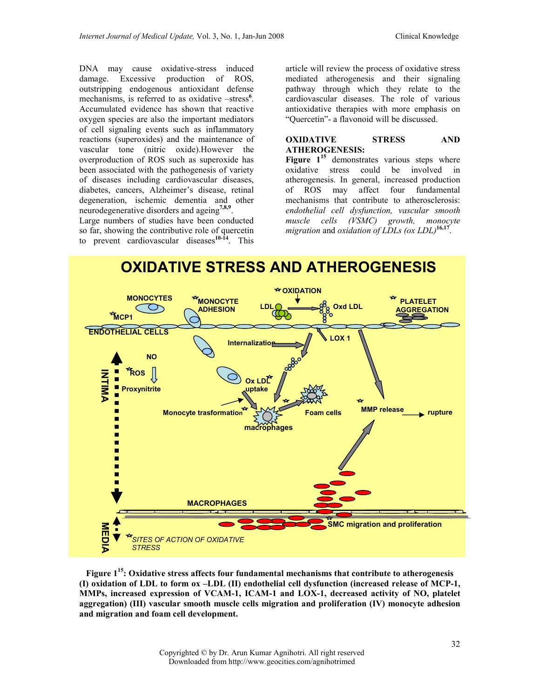DNA may cause oxidative-stress induced damage. Excessive production of ROS, outstripping endogenous antioxidant defense mechanisms, is referred to as oxidative -stress<sup>6</sup>. Accumulated evidence has shown that reactive oxygen species are also the important mediators of cell signaling events such as inflammatory reactions (superoxides) and the maintenance of vascular tone (nitric oxide).However the overproduction of ROS such as superoxide has been associated with the pathogenesis of variety of diseases including cardiovascular diseases, diabetes, cancers, Alzheimer's disease, retinal degeneration, ischemic dementia and other neurodegenerative disorders and ageing<sup>7,8,9</sup>.

Large numbers of studies have been conducted so far, showing the contributive role of quercetin to prevent cardiovascular diseases $10-14$ . This

article will review the process of oxidative stress mediated atherogenesis and their signaling pathway through which they relate to the cardiovascular diseases. The role of various antioxidative therapies with more emphasis on "Quercetin"- a flavonoid will be discussed.

#### OXIDATIVE STRESS AND ATHEROGENESIS:

Figure  $1^{15}$  demonstrates various steps where oxidative stress could be involved in atherogenesis. In general, increased production of ROS may affect four fundamental mechanisms that contribute to atherosclerosis: endothelial cell dysfunction, vascular smooth muscle cells (VSMC) growth, monocyte migration and oxidation of LDLs (ox LDL)<sup>16,17</sup> .



Figure  $1^{15}$ : Oxidative stress affects four fundamental mechanisms that contribute to atherogenesis (I) oxidation of LDL to form ox –LDL (II) endothelial cell dysfunction (increased release of MCP-1, MMPs, increased expression of VCAM-1, ICAM-1 and LOX-1, decreased activity of NO, platelet aggregation) (III) vascular smooth muscle cells migration and proliferation (IV) monocyte adhesion and migration and foam cell development.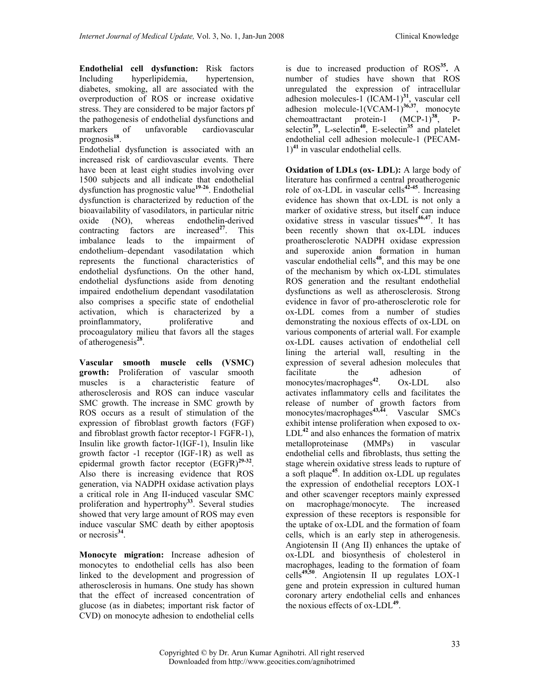Endothelial cell dysfunction: Risk factors Including hyperlipidemia, hypertension, diabetes, smoking, all are associated with the overproduction of ROS or increase oxidative stress. They are considered to be major factors pf the pathogenesis of endothelial dysfunctions and markers of unfavorable cardiovascular prognosis<sup>18</sup>.

Endothelial dysfunction is associated with an increased risk of cardiovascular events. There have been at least eight studies involving over 1500 subjects and all indicate that endothelial  $dy$ sfunction has prognostic value<sup>19-26</sup>. Endothelial dysfunction is characterized by reduction of the bioavailability of vasodilators, in particular nitric oxide (NO), whereas endothelin-derived contracting factors are increased<sup>27</sup>. This imbalance leads to the impairment of endothelium–dependant vasodilatation which represents the functional characteristics of endothelial dysfunctions. On the other hand, endothelial dysfunctions aside from denoting impaired endothelium dependant vasodilatation also comprises a specific state of endothelial activation, which is characterized by a proinflammatory, proliferative and proinflammatory, proliferative and procoagulatory milieu that favors all the stages of atherogenesis<sup>28</sup>.

Vascular smooth muscle cells (VSMC) growth: Proliferation of vascular smooth muscles is a characteristic feature of atherosclerosis and ROS can induce vascular SMC growth. The increase in SMC growth by ROS occurs as a result of stimulation of the expression of fibroblast growth factors (FGF) and fibroblast growth factor receptor-1 FGFR-1), Insulin like growth factor-1(IGF-1), Insulin like growth factor -1 receptor (IGF-1R) as well as epidermal growth factor receptor  $(EGFR)^{29-32}$ . Also there is increasing evidence that ROS generation, via NADPH oxidase activation plays a critical role in Ang II-induced vascular SMC proliferation and hypertrophy<sup>33</sup>. Several studies showed that very large amount of ROS may even induce vascular SMC death by either apoptosis or necrosis $34$ .

Monocyte migration: Increase adhesion of monocytes to endothelial cells has also been linked to the development and progression of atherosclerosis in humans. One study has shown that the effect of increased concentration of glucose (as in diabetes; important risk factor of CVD) on monocyte adhesion to endothelial cells

is due to increased production of  $ROS<sup>35</sup>$ . A number of studies have shown that ROS unregulated the expression of intracellular adhesion molecules-1  $(ICAM-1)^{31}$ , vascular cell adhesion molecule-1(VCAM-1) $^{36,37}$ , monocyte chemoattractant protein-1  $(MCP-1)^{38}$ , Pselectin<sup>39</sup>, L-selectin<sup>40</sup>, E-selectin<sup>35</sup> and platelet endothelial cell adhesion molecule-1 (PECAM- $1)^{41}$  in vascular endothelial cells.

Oxidation of LDLs (ox- LDL): A large body of literature has confirmed a central proatherogenic role of  $ox$ -LDL in vascular cells<sup>42-45</sup>. Increasing evidence has shown that ox-LDL is not only a marker of oxidative stress, but itself can induce oxidative stress in vascular tissues<sup>46,47</sup>. It has been recently shown that ox-LDL induces proatherosclerotic NADPH oxidase expression and superoxide anion formation in human vascular endothelial cells $48$ , and this may be one of the mechanism by which ox-LDL stimulates ROS generation and the resultant endothelial dysfunctions as well as atherosclerosis. Strong evidence in favor of pro-atherosclerotic role for ox-LDL comes from a number of studies demonstrating the noxious effects of ox-LDL on various components of arterial wall. For example ox-LDL causes activation of endothelial cell lining the arterial wall, resulting in the expression of several adhesion molecules that facilitate the adhesion of<br>monocytes/macrophages<sup>42</sup>.  $Ox-LDL$  also monocytes/macrophages<sup>42</sup>. Ox-LDL also activates inflammatory cells and facilitates the release of number of growth factors from monocytes/macrophages<sup>43,44</sup>. Vascular SMCs exhibit intense proliferation when exposed to ox- $LDL<sup>42</sup>$  and also enhances the formation of matrix metalloproteinase (MMPs) in vascular endothelial cells and fibroblasts, thus setting the stage wherein oxidative stress leads to rupture of a soft plaque<sup>45</sup>. In addition  $ox$ -LDL up regulates the expression of endothelial receptors LOX-1 and other scavenger receptors mainly expressed on macrophage/monocyte. The increased expression of these receptors is responsible for the uptake of ox-LDL and the formation of foam cells, which is an early step in atherogenesis. Angiotensin II (Ang II) enhances the uptake of ox-LDL and biosynthesis of cholesterol in macrophages, leading to the formation of foam cells49,50. Angiotensin II up regulates LOX-1 gene and protein expression in cultured human coronary artery endothelial cells and enhances the noxious effects of  $ox-LDL^{49}$ .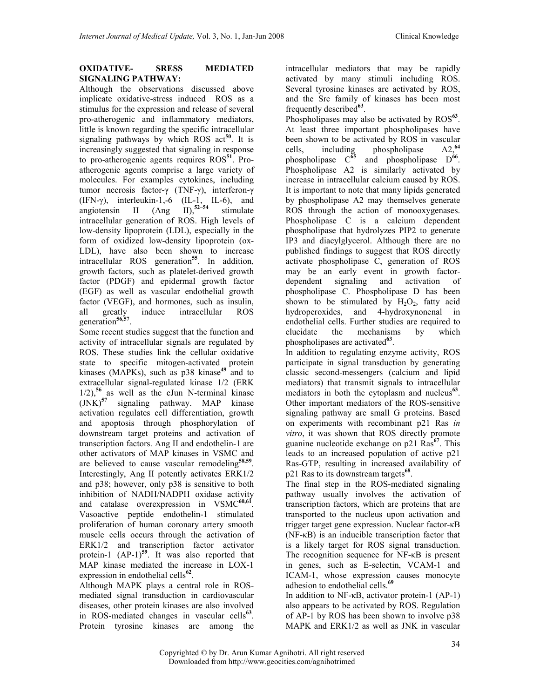#### OXIDATIVE- SRESS MEDIATED SIGNALING PATHWAY:

Although the observations discussed above implicate oxidative-stress induced ROS as a stimulus for the expression and release of several pro-atherogenic and inflammatory mediators, little is known regarding the specific intracellular signaling pathways by which ROS  $act^{50}$ . It is increasingly suggested that signaling in response to pro-atherogenic agents requires ROS<sup>51</sup>. Proatherogenic agents comprise a large variety of molecules. For examples cytokines, including tumor necrosis factor-γ (TNF-γ), interferon-γ (IFN- $\gamma$ ), interleukin-1,-6 (IL-1, IL-6), and angiotensin II  $(Ang \text{II})$ ,<sup>52–54</sup> stimulate intracellular generation of ROS. High levels of low-density lipoprotein (LDL), especially in the form of oxidized low-density lipoprotein (ox-LDL), have also been shown to increase intracellular ROS generation<sup>55</sup>. In addition, growth factors, such as platelet-derived growth factor (PDGF) and epidermal growth factor (EGF) as well as vascular endothelial growth factor (VEGF), and hormones, such as insulin, all greatly induce intracellular ROS generation<sup>56,57</sup>.

Some recent studies suggest that the function and activity of intracellular signals are regulated by ROS. These studies link the cellular oxidative state to specific mitogen-activated protein kinases (MAPKs), such as  $p38$  kinase<sup>49</sup> and to extracellular signal-regulated kinase 1/2 (ERK  $1/2$ ),<sup>56</sup> as well as the cJun N-terminal kinase  $(JNK)^{57}$  signaling pathway. MAP kinase activation regulates cell differentiation, growth and apoptosis through phosphorylation of downstream target proteins and activation of transcription factors. Ang II and endothelin-1 are other activators of MAP kinases in VSMC and are believed to cause vascular remodeling<sup>58,59</sup>. Interestingly, Ang II potently activates ERK1/2 and p38; however, only p38 is sensitive to both inhibition of NADH/NADPH oxidase activity and catalase overexpression in VSMC<sup>60,61</sup>. Vasoactive peptide endothelin-1 stimulated proliferation of human coronary artery smooth muscle cells occurs through the activation of ERK1/2 and transcription factor activator protein-1  $(AP-1)^{59}$ . It was also reported that MAP kinase mediated the increase in LOX-1 expression in endothelial cells $<sup>62</sup>$ .</sup>

Although MAPK plays a central role in ROSmediated signal transduction in cardiovascular diseases, other protein kinases are also involved in ROS-mediated changes in vascular cells<sup>63</sup>. Protein tyrosine kinases are among the

intracellular mediators that may be rapidly activated by many stimuli including ROS. Several tyrosine kinases are activated by ROS, and the Src family of kinases has been most frequently described<sup>63</sup>.

Phospholipases may also be activated by  $ROS^{63}$ . At least three important phospholipases have been shown to be activated by ROS in vascular cells, including phospholipase  $A2$ ,<sup>64</sup> cells, including phospholipase<br>phospholipase  $C^{65}$  and phospholip phospholipase  $C^{65}$  and phospholipase  $D^{66}$ . Phospholipase A2 is similarly activated by increase in intracellular calcium caused by ROS. It is important to note that many lipids generated by phospholipase A2 may themselves generate ROS through the action of monooxygenases. Phospholipase C is a calcium dependent phospholipase that hydrolyzes PIP2 to generate IP3 and diacylglycerol. Although there are no published findings to suggest that ROS directly activate phospholipase C, generation of ROS may be an early event in growth factordependent signaling and activation of phospholipase C. Phospholipase D has been shown to be stimulated by  $H_2O_2$ , fatty acid hydroperoxides, and 4-hydroxynonenal in endothelial cells. Further studies are required to elucidate the mechanisms by which phospholipases are activated<sup>63</sup>.

In addition to regulating enzyme activity, ROS participate in signal transduction by generating classic second-messengers (calcium and lipid mediators) that transmit signals to intracellular mediators in both the cytoplasm and nucleus<sup>63</sup>. Other important mediators of the ROS-sensitive signaling pathway are small G proteins. Based on experiments with recombinant p21 Ras in vitro, it was shown that ROS directly promote guanine nucleotide exchange on  $p21$  Ras<sup>67</sup>. This leads to an increased population of active p21 Ras-GTP, resulting in increased availability of p21 Ras to its downstream targets<sup>68</sup>.

The final step in the ROS-mediated signaling pathway usually involves the activation of transcription factors, which are proteins that are transported to the nucleus upon activation and trigger target gene expression. Nuclear factor-κB (NF-κB) is an inducible transcription factor that is a likely target for ROS signal transduction. The recognition sequence for NF-κB is present in genes, such as E-selectin, VCAM-1 and ICAM-1, whose expression causes monocyte adhesion to endothelial cells.<sup>69</sup>

In addition to NF-κB, activator protein-1 (AP-1) also appears to be activated by ROS. Regulation of AP-1 by ROS has been shown to involve p38 MAPK and ERK1/2 as well as JNK in vascular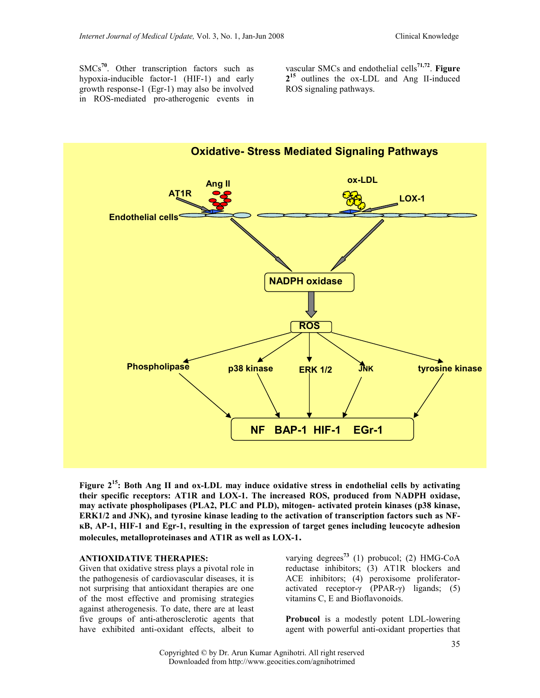SMCs<sup>70</sup>. Other transcription factors such as hypoxia-inducible factor-1 (HIF-1) and early growth response-1 (Egr-1) may also be involved in ROS-mediated pro-atherogenic events in

vascular SMCs and endothelial cells $71,72$ . Figure 2<sup>15</sup> outlines the ox-LDL and Ang II-induced ROS signaling pathways.



Figure  $2^{15}$ : Both Ang II and ox-LDL may induce oxidative stress in endothelial cells by activating their specific receptors: AT1R and LOX-1. The increased ROS, produced from NADPH oxidase, may activate phospholipases (PLA2, PLC and PLD), mitogen- activated protein kinases (p38 kinase, ERK1/2 and JNK), and tyrosine kinase leading to the activation of transcription factors such as NFĸB, AP-1, HIF-1 and Egr-1, resulting in the expression of target genes including leucocyte adhesion molecules, metalloproteinases and AT1R as well as LOX-1.

#### ANTIOXIDATIVE THERAPIES:

Given that oxidative stress plays a pivotal role in the pathogenesis of cardiovascular diseases, it is not surprising that antioxidant therapies are one of the most effective and promising strategies against atherogenesis. To date, there are at least five groups of anti-atherosclerotic agents that have exhibited anti-oxidant effects, albeit to

varying degrees<sup>73</sup> (1) probucol; (2) HMG-CoA reductase inhibitors; (3) AT1R blockers and ACE inhibitors; (4) peroxisome proliferatoractivated receptor-γ (PPAR-γ) ligands; (5) vitamins C, E and Bioflavonoids.

Probucol is a modestly potent LDL-lowering agent with powerful anti-oxidant properties that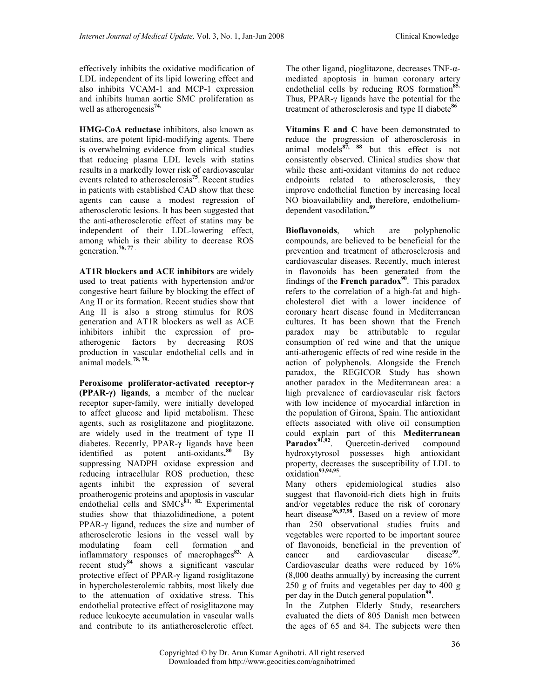effectively inhibits the oxidative modification of LDL independent of its lipid lowering effect and also inhibits VCAM-1 and MCP-1 expression and inhibits human aortic SMC proliferation as well as atherogenesis<sup>74.</sup>

HMG-CoA reductase inhibitors, also known as statins, are potent lipid-modifying agents. There is overwhelming evidence from clinical studies that reducing plasma LDL levels with statins results in a markedly lower risk of cardiovascular events related to atherosclerosis<sup>75</sup>. Recent studies in patients with established CAD show that these agents can cause a modest regression of atherosclerotic lesions. It has been suggested that the anti-atherosclerotic effect of statins may be independent of their LDL-lowering effect, among which is their ability to decrease ROS generation.<sup>76, 77</sup>

AT1R blockers and ACE inhibitors are widely used to treat patients with hypertension and/or congestive heart failure by blocking the effect of Ang II or its formation. Recent studies show that Ang II is also a strong stimulus for ROS generation and AT1R blockers as well as ACE inhibitors inhibit the expression of proatherogenic factors by decreasing ROS production in vascular endothelial cells and in animal models.78, 79.

Peroxisome proliferator-activated receptor-γ (PPAR-γ) ligands, a member of the nuclear receptor super-family, were initially developed to affect glucose and lipid metabolism. These agents, such as rosiglitazone and pioglitazone, are widely used in the treatment of type II diabetes. Recently, PPAR-γ ligands have been identified as potent anti-oxidants.<sup>80</sup>  $Bv$ suppressing NADPH oxidase expression and reducing intracellular ROS production, these agents inhibit the expression of several proatherogenic proteins and apoptosis in vascular endothelial cells and  $SMCs<sup>81, ^{62}</sup>$ . Experimental studies show that thiazolidinedione, a potent PPAR-γ ligand, reduces the size and number of atherosclerotic lesions in the vessel wall by modulating foam cell formation and inflammatory responses of macrophages<sup>83.</sup> A recent study<sup>84</sup> shows a significant vascular protective effect of PPAR-γ ligand rosiglitazone in hypercholesterolemic rabbits, most likely due to the attenuation of oxidative stress. This endothelial protective effect of rosiglitazone may reduce leukocyte accumulation in vascular walls and contribute to its antiatherosclerotic effect.

The other ligand, pioglitazone, decreases TNF-αmediated apoptosis in human coronary artery endothelial cells by reducing ROS formation<sup>85.</sup> Thus, PPAR-γ ligands have the potential for the treatment of atherosclerosis and type II diabete<sup>86</sup>

Vitamins E and C have been demonstrated to reduce the progression of atherosclerosis in animal models $^{87}$ ,  $^{88}$  but this effect is not consistently observed. Clinical studies show that while these anti-oxidant vitamins do not reduce endpoints related to atherosclerosis, they improve endothelial function by increasing local NO bioavailability and, therefore, endotheliumdependent vasodilation. 89

Bioflavonoids, which are polyphenolic compounds, are believed to be beneficial for the prevention and treatment of atherosclerosis and cardiovascular diseases. Recently, much interest in flavonoids has been generated from the findings of the French paradox<sup>90</sup>. This paradox refers to the correlation of a high-fat and highcholesterol diet with a lower incidence of coronary heart disease found in Mediterranean cultures. It has been shown that the French paradox may be attributable to regular consumption of red wine and that the unique anti-atherogenic effects of red wine reside in the action of polyphenols. Alongside the French paradox, the REGICOR Study has shown another paradox in the Mediterranean area: a high prevalence of cardiovascular risk factors with low incidence of myocardial infarction in the population of Girona, Spain. The antioxidant effects associated with olive oil consumption could explain part of this Mediterranean Paradox<sup>91,92</sup>. Quercetin-derived compound hydroxytyrosol possesses high antioxidant property, decreases the susceptibility of LDL to  $oxidation^{93,94,95}$ .

Many others epidemiological studies also suggest that flavonoid-rich diets high in fruits and/or vegetables reduce the risk of coronary heart disease<sup>96,97,98</sup>. Based on a review of more than 250 observational studies fruits and vegetables were reported to be important source of flavonoids, beneficial in the prevention of cancer and cardiovascular disease<sup>99</sup>. Cardiovascular deaths were reduced by 16% (8,000 deaths annually) by increasing the current 250 g of fruits and vegetables per day to 400 g per day in the Dutch general population<sup>99</sup>.

In the Zutphen Elderly Study, researchers evaluated the diets of 805 Danish men between the ages of 65 and 84. The subjects were then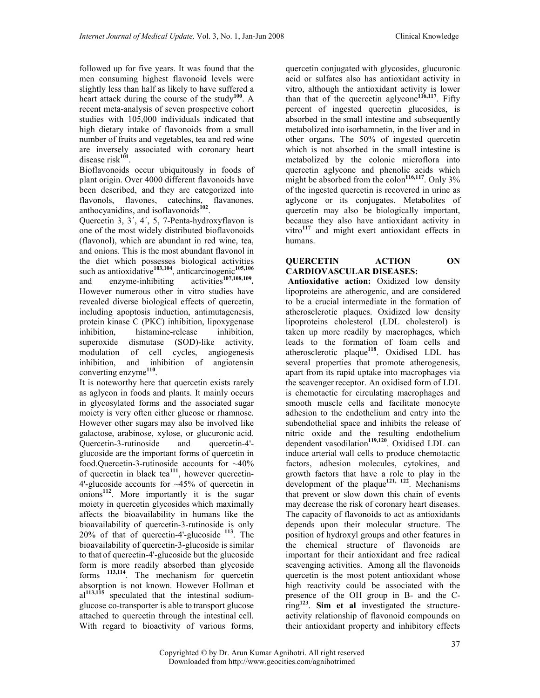followed up for five years. It was found that the men consuming highest flavonoid levels were slightly less than half as likely to have suffered a heart attack during the course of the study<sup>100</sup>. A recent meta-analysis of seven prospective cohort studies with 105,000 individuals indicated that high dietary intake of flavonoids from a small number of fruits and vegetables, tea and red wine are inversely associated with coronary heart disease risk<sup>101</sup>.

Bioflavonoids occur ubiquitously in foods of plant origin. Over 4000 different flavonoids have been described, and they are categorized into flavonols, flavones, catechins, flavanones, anthocyanidins, and isoflavonoids<sup>102</sup>.

Quercetin 3, 3´, 4´, 5, 7-Penta-hydroxyflavon is one of the most widely distributed bioflavonoids (flavonol), which are abundant in red wine, tea, and onions. This is the most abundant flavonol in the diet which possesses biological activities such as antioxidative<sup>103,104</sup>, anticarcinogenic<sup>105,106</sup> and enzyme-inhibiting activities<sup>107,108,109</sup>. However numerous other in vitro studies have revealed diverse biological effects of quercetin, including apoptosis induction, antimutagenesis, protein kinase C (PKC) inhibition, lipoxygenase inhibition, histamine-release inhibition, superoxide dismutase (SOD)-like activity, modulation of cell cycles, angiogenesis inhibition, and inhibition of angiotensin converting enzyme<sup>110</sup>.

It is noteworthy here that quercetin exists rarely as aglycon in foods and plants. It mainly occurs in glycosylated forms and the associated sugar moiety is very often either glucose or rhamnose. However other sugars may also be involved like galactose, arabinose, xylose, or glucuronic acid. Quercetin-3-rutinoside and quercetin-4' glucoside are the important forms of quercetin in food.Quercetin-3-rutinoside accounts for ~40% of quercetin in black tea<sup>111</sup>, however quercetin-4'-glucoside accounts for ~45% of quercetin in onions<sup>112</sup>. More importantly it is the sugar moiety in quercetin glycosides which maximally affects the bioavailability in humans like the bioavailability of quercetin-3-rutinoside is only 20% of that of quercetin-4'-glucoside <sup>113</sup>. The bioavailability of quercetin-3-glucoside is similar to that of quercetin-4'-glucoside but the glucoside form is more readily absorbed than glycoside forms  $113,114$ . The mechanism for quercetin  $113,114$ . The mechanism for quercetin absorption is not known. However Hollman et  $al<sup>113,115</sup>$  speculated that the intestinal sodiumglucose co-transporter is able to transport glucose attached to quercetin through the intestinal cell. With regard to bioactivity of various forms,

quercetin conjugated with glycosides, glucuronic acid or sulfates also has antioxidant activity in vitro, although the antioxidant activity is lower than that of the quercetin aglycone<sup>116,117</sup>. Fifty percent of ingested quercetin glucosides, is absorbed in the small intestine and subsequently metabolized into isorhamnetin, in the liver and in other organs. The 50% of ingested quercetin which is not absorbed in the small intestine is metabolized by the colonic microflora into quercetin aglycone and phenolic acids which might be absorbed from the colon<sup>116,117</sup>. Only  $3\%$ of the ingested quercetin is recovered in urine as aglycone or its conjugates. Metabolites of quercetin may also be biologically important, because they also have antioxidant activity in vitro $117$  and might exert antioxidant effects in humans.

#### QUERCETIN ACTION ON CARDIOVASCULAR DISEASES:

Antioxidative action: Oxidized low density lipoproteins are atherogenic, and are considered to be a crucial intermediate in the formation of atherosclerotic plaques. Oxidized low density lipoproteins cholesterol (LDL cholesterol) is taken up more readily by macrophages, which leads to the formation of foam cells and atherosclerotic plaque<sup>118</sup>. Oxidised LDL has several properties that promote atherogenesis, apart from its rapid uptake into macrophages via the scavenger receptor. An oxidised form of LDL is chemotactic for circulating macrophages and smooth muscle cells and facilitate monocyte adhesion to the endothelium and entry into the subendothelial space and inhibits the release of nitric oxide and the resulting endothelium dependent vasodilation<sup>119,120</sup>. Oxidised LDL can induce arterial wall cells to produce chemotactic factors, adhesion molecules, cytokines, and growth factors that have a role to play in the development of the plaque<sup>121, 122</sup>. Mechanisms that prevent or slow down this chain of events may decrease the risk of coronary heart diseases. The capacity of flavonoids to act as antioxidants depends upon their molecular structure. The position of hydroxyl groups and other features in the chemical structure of flavonoids are important for their antioxidant and free radical scavenging activities. Among all the flavonoids quercetin is the most potent antioxidant whose high reactivity could be associated with the presence of the OH group in B- and the C $ring<sup>123</sup>$ . Sim et al investigated the structureactivity relationship of flavonoid compounds on their antioxidant property and inhibitory effects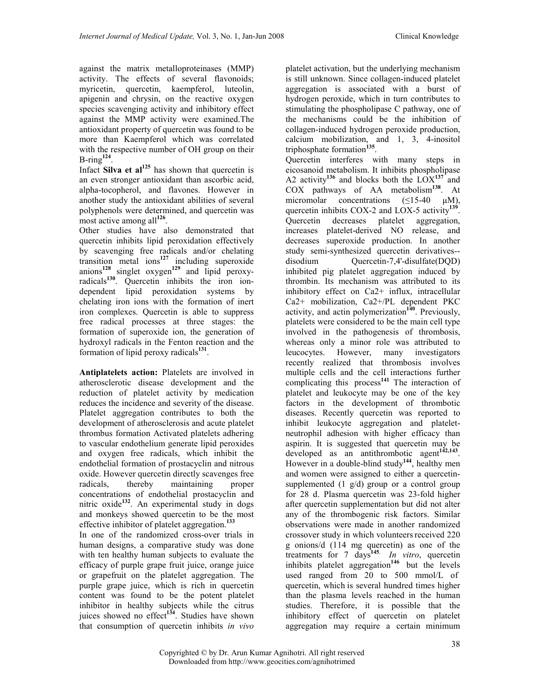against the matrix metalloproteinases (MMP) activity. The effects of several flavonoids; myricetin, quercetin, kaempferol, luteolin, apigenin and chrysin, on the reactive oxygen species scavenging activity and inhibitory effect against the MMP activity were examined.The antioxidant property of quercetin was found to be more than Kaempferol which was correlated with the respective number of OH group on their  $B$ -ring<sup>124</sup>.

Infact Silva et  $al^{125}$  has shown that quercetin is an even stronger antioxidant than ascorbic acid, alpha-tocopherol, and flavones. However in another study the antioxidant abilities of several polyphenols were determined, and quercetin was most active among all<sup>126</sup>.

Other studies have also demonstrated that quercetin inhibits lipid peroxidation effectively by scavenging free radicals and/or chelating transition metal ions $127$  including superoxide anions<sup>128</sup> singlet oxygen<sup>129</sup> and lipid peroxyradicals<sup>130</sup>. Quercetin inhibits the iron iondependent lipid peroxidation systems by chelating iron ions with the formation of inert iron complexes. Quercetin is able to suppress free radical processes at three stages: the formation of superoxide ion, the generation of hydroxyl radicals in the Fenton reaction and the formation of lipid peroxy radicals<sup>131</sup>.

Antiplatelets action: Platelets are involved in atherosclerotic disease development and the reduction of platelet activity by medication reduces the incidence and severity of the disease. Platelet aggregation contributes to both the development of atherosclerosis and acute platelet thrombus formation Activated platelets adhering to vascular endothelium generate lipid peroxides and oxygen free radicals, which inhibit the endothelial formation of prostacyclin and nitrous oxide. However quercetin directly scavenges free radicals, thereby maintaining proper concentrations of endothelial prostacyclin and nitric oxide<sup>132</sup>. An experimental study in dogs and monkeys showed quercetin to be the most effective inhibitor of platelet aggregation.<sup>133</sup>

In one of the randomized cross-over trials in human designs, a comparative study was done with ten healthy human subjects to evaluate the efficacy of purple grape fruit juice, orange juice or grapefruit on the platelet aggregation. The purple grape juice, which is rich in quercetin content was found to be the potent platelet inhibitor in healthy subjects while the citrus juices showed no effect<sup>134</sup>. Studies have shown that consumption of quercetin inhibits in vivo

platelet activation, but the underlying mechanism is still unknown. Since collagen-induced platelet aggregation is associated with a burst of hydrogen peroxide, which in turn contributes to stimulating the phospholipase C pathway, one of the mechanisms could be the inhibition of collagen-induced hydrogen peroxide production, calcium mobilization, and 1, 3, 4-inositol triphosphate formation<sup>135</sup>.

Quercetin interferes with many steps in eicosanoid metabolism. It inhibits phospholipase A2 activity<sup>136</sup> and blocks both the  $LOX<sup>137</sup>$  and COX pathways of AA metabolism<sup>138</sup>. At micromolar concentrations  $(\leq 15-40 \text{ }\mu\text{M})$ , quercetin inhibits COX-2 and LOX-5 activity<sup>139</sup>. Quercetin decreases platelet aggregation, increases platelet-derived NO release, and decreases superoxide production. In another study semi-synthesized quercetin derivatives- disodium Quercetin-7,4'-disulfate(DQD) inhibited pig platelet aggregation induced by thrombin. Its mechanism was attributed to its inhibitory effect on Ca2+ influx, intracellular Ca2+ mobilization, Ca2+/PL dependent PKC activity, and actin polymerization<sup>140</sup>. Previously, platelets were considered to be the main cell type involved in the pathogenesis of thrombosis, whereas only a minor role was attributed to leucocytes. However, many investigators recently realized that thrombosis involves multiple cells and the cell interactions further complicating this process $141$  The interaction of platelet and leukocyte may be one of the key factors in the development of thrombotic diseases. Recently quercetin was reported to inhibit leukocyte aggregation and plateletneutrophil adhesion with higher efficacy than aspirin. It is suggested that quercetin may be developed as an antithrombotic agent<sup>142,143</sup>. However in a double-blind study<sup>144</sup>, healthy men and women were assigned to either a quercetinsupplemented  $(1 \text{ g/d})$  group or a control group for 28 d. Plasma quercetin was 23-fold higher after quercetin supplementation but did not alter any of the thrombogenic risk factors. Similar observations were made in another randomized crossover study in which volunteers received 220 g onions/d (114 mg quercetin) as one of the treatments for 7 days<sup>145.</sup> In vitro, quercetin inhibits platelet aggregation<sup>146</sup> but the levels used ranged from 20 to 500 mmol/L of quercetin, which is several hundred times higher than the plasma levels reached in the human studies. Therefore, it is possible that the inhibitory effect of quercetin on platelet aggregation may require a certain minimum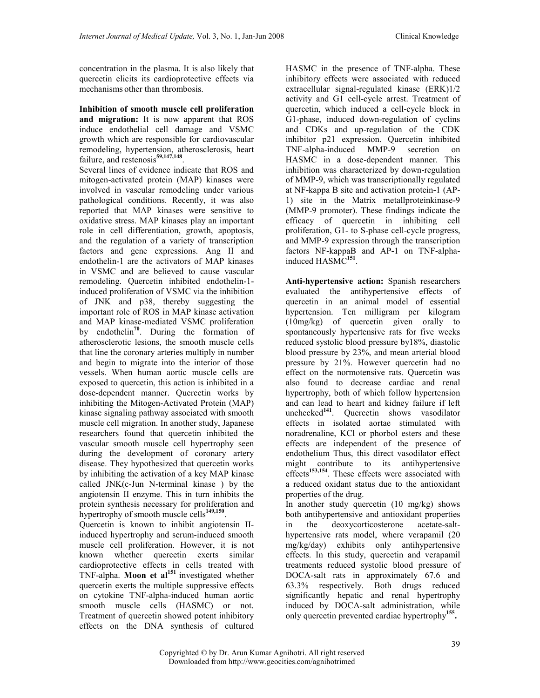concentration in the plasma. It is also likely that quercetin elicits its cardioprotective effects via mechanisms other than thrombosis.

Inhibition of smooth muscle cell proliferation and migration: It is now apparent that ROS induce endothelial cell damage and VSMC growth which are responsible for cardiovascular remodeling, hypertension, atherosclerosis, heart failure, and restenosis<sup>59,147,148</sup>.

Several lines of evidence indicate that ROS and mitogen-activated protein (MAP) kinases were involved in vascular remodeling under various pathological conditions. Recently, it was also reported that MAP kinases were sensitive to oxidative stress. MAP kinases play an important role in cell differentiation, growth, apoptosis, and the regulation of a variety of transcription factors and gene expressions. Ang II and endothelin-1 are the activators of MAP kinases in VSMC and are believed to cause vascular remodeling. Quercetin inhibited endothelin-1 induced proliferation of VSMC via the inhibition of JNK and p38, thereby suggesting the important role of ROS in MAP kinase activation and MAP kinase-mediated VSMC proliferation by endothelin<sup>70</sup>. During the formation of atherosclerotic lesions, the smooth muscle cells that line the coronary arteries multiply in number and begin to migrate into the interior of those vessels. When human aortic muscle cells are exposed to quercetin, this action is inhibited in a dose-dependent manner. Quercetin works by inhibiting the Mitogen-Activated Protein (MAP) kinase signaling pathway associated with smooth muscle cell migration. In another study, Japanese researchers found that quercetin inhibited the vascular smooth muscle cell hypertrophy seen during the development of coronary artery disease. They hypothesized that quercetin works by inhibiting the activation of a key MAP kinase called JNK(c-Jun N-terminal kinase ) by the angiotensin II enzyme. This in turn inhibits the protein synthesis necessary for proliferation and hypertrophy of smooth muscle cells<sup>149,150</sup>.

Quercetin is known to inhibit angiotensin IIinduced hypertrophy and serum-induced smooth muscle cell proliferation. However, it is not known whether quercetin exerts similar cardioprotective effects in cells treated with TNF-alpha. **Moon et al**<sup>151</sup> investigated whether quercetin exerts the multiple suppressive effects on cytokine TNF-alpha-induced human aortic smooth muscle cells (HASMC) or not. Treatment of quercetin showed potent inhibitory effects on the DNA synthesis of cultured

HASMC in the presence of TNF-alpha. These inhibitory effects were associated with reduced extracellular signal-regulated kinase (ERK)1/2 activity and G1 cell-cycle arrest. Treatment of quercetin, which induced a cell-cycle block in G1-phase, induced down-regulation of cyclins and CDKs and up-regulation of the CDK inhibitor p21 expression. Quercetin inhibited TNF-alpha-induced MMP-9 secretion on HASMC in a dose-dependent manner. This inhibition was characterized by down-regulation of MMP-9, which was transcriptionally regulated at NF-kappa B site and activation protein-1 (AP-1) site in the Matrix metallproteinkinase-9 (MMP-9 promoter). These findings indicate the efficacy of quercetin in inhibiting cell proliferation, G1- to S-phase cell-cycle progress, and MMP-9 expression through the transcription factors NF-kappaB and AP-1 on TNF-alphainduced HASMC<sup>151</sup>.

Anti-hypertensive action: Spanish researchers evaluated the antihypertensive effects of quercetin in an animal model of essential hypertension. Ten milligram per kilogram (10mg/kg) of quercetin given orally to spontaneously hypertensive rats for five weeks reduced systolic blood pressure by18%, diastolic blood pressure by 23%, and mean arterial blood pressure by 21%. However quercetin had no effect on the normotensive rats. Quercetin was also found to decrease cardiac and renal hypertrophy, both of which follow hypertension and can lead to heart and kidney failure if left unchecked $141$ . Quercetin shows vasodilator effects in isolated aortae stimulated with noradrenaline, KCl or phorbol esters and these effects are independent of the presence of endothelium Thus, this direct vasodilator effect might contribute to its antihypertensive effects<sup>153,154</sup>. These effects were associated with a reduced oxidant status due to the antioxidant properties of the drug.

In another study quercetin (10 mg/kg) shows both antihypertensive and antioxidant properties in the deoxycorticosterone acetate-salthypertensive rats model, where verapamil (20 mg/kg/day) exhibits only antihypertensive effects. In this study, quercetin and verapamil treatments reduced systolic blood pressure of DOCA-salt rats in approximately 67.6 and 63.3% respectively. Both drugs reduced significantly hepatic and renal hypertrophy induced by DOCA-salt administration, while only quercetin prevented cardiac hypertrophy<sup>155</sup>.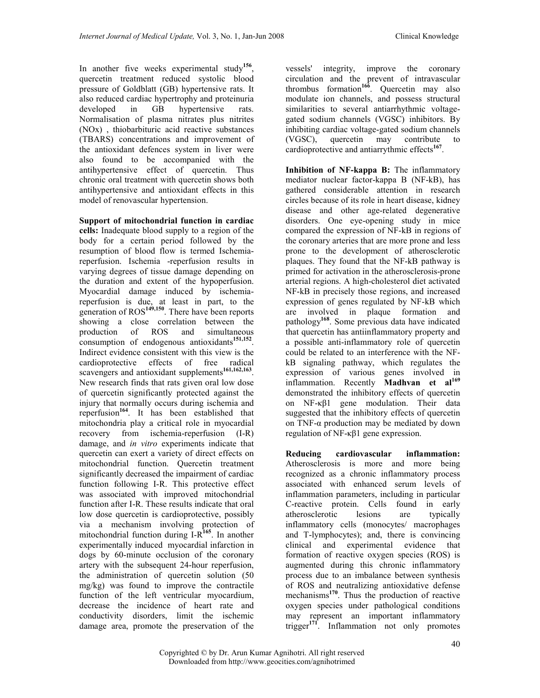In another five weeks experimental study<sup>156</sup>, quercetin treatment reduced systolic blood pressure of Goldblatt (GB) hypertensive rats. It also reduced cardiac hypertrophy and proteinuria developed in GB hypertensive rats. Normalisation of plasma nitrates plus nitrites (NOx) , thiobarbituric acid reactive substances (TBARS) concentrations and improvement of the antioxidant defences system in liver were also found to be accompanied with the antihypertensive effect of quercetin. Thus chronic oral treatment with quercetin shows both antihypertensive and antioxidant effects in this model of renovascular hypertension.

Support of mitochondrial function in cardiac cells: Inadequate blood supply to a region of the body for a certain period followed by the resumption of blood flow is termed Ischemiareperfusion. Ischemia -reperfusion results in varying degrees of tissue damage depending on the duration and extent of the hypoperfusion. Myocardial damage induced by ischemiareperfusion is due, at least in part, to the generation of ROS<sup>149,150</sup>. There have been reports showing a close correlation between the production of ROS and simultaneous consumption of endogenous antioxidants<sup>151,152</sup>. Indirect evidence consistent with this view is the cardioprotective effects of free radical scavengers and antioxidant supplements<sup>161,162,163</sup>. New research finds that rats given oral low dose of quercetin significantly protected against the injury that normally occurs during ischemia and reperfusion<sup>164</sup>. It has been established that mitochondria play a critical role in myocardial recovery from ischemia-reperfusion (I-R) damage, and in vitro experiments indicate that quercetin can exert a variety of direct effects on mitochondrial function. Quercetin treatment significantly decreased the impairment of cardiac function following I-R. This protective effect was associated with improved mitochondrial function after I-R. These results indicate that oral low dose quercetin is cardioprotective, possibly via a mechanism involving protection of mitochondrial function during  $I-R^{165}$ . In another experimentally induced myocardial infarction in dogs by 60-minute occlusion of the coronary artery with the subsequent 24-hour reperfusion, the administration of quercetin solution (50 mg/kg) was found to improve the contractile function of the left ventricular myocardium, decrease the incidence of heart rate and conductivity disorders, limit the ischemic damage area, promote the preservation of the

vessels' integrity, improve the coronary circulation and the prevent of intravascular thrombus formation<sup>166</sup>. Quercetin may also modulate ion channels, and possess structural similarities to several antiarrhythmic voltagegated sodium channels (VGSC) inhibitors. By inhibiting cardiac voltage-gated sodium channels (VGSC), quercetin may contribute to cardioprotective and antiarrythmic effects<sup>167</sup>.

Inhibition of NF-kappa B: The inflammatory mediator nuclear factor-kappa B (NF-kB), has gathered considerable attention in research circles because of its role in heart disease, kidney disease and other age-related degenerative disorders. One eye-opening study in mice compared the expression of NF-kB in regions of the coronary arteries that are more prone and less prone to the development of atherosclerotic plaques. They found that the NF-kB pathway is primed for activation in the atherosclerosis-prone arterial regions. A high-cholesterol diet activated NF-kB in precisely those regions, and increased expression of genes regulated by NF-kB which are involved in plaque formation and pathology<sup>168</sup>. Some previous data have indicated that quercetin has antiinflammatory property and a possible anti-inflammatory role of quercetin could be related to an interference with the NFkB signaling pathway, which regulates the expression of various genes involved in inflammation. Recently **Madhvan** et  $al^{169}$ demonstrated the inhibitory effects of quercetin on NF-κβ1 gene modulation. Their data suggested that the inhibitory effects of quercetin on TNF-α production may be mediated by down regulation of NF-κβ1 gene expression.

Reducing cardiovascular inflammation: Atherosclerosis is more and more being recognized as a chronic inflammatory process associated with enhanced serum levels of inflammation parameters, including in particular C-reactive protein. Cells found in early atherosclerotic lesions are typically inflammatory cells (monocytes/ macrophages and T-lymphocytes); and, there is convincing clinical and experimental evidence that formation of reactive oxygen species (ROS) is augmented during this chronic inflammatory process due to an imbalance between synthesis of ROS and neutralizing antioxidative defense mechanisms $170$ . Thus the production of reactive oxygen species under pathological conditions may represent an important inflammatory trigger<sup>171</sup>. Inflammation not only promotes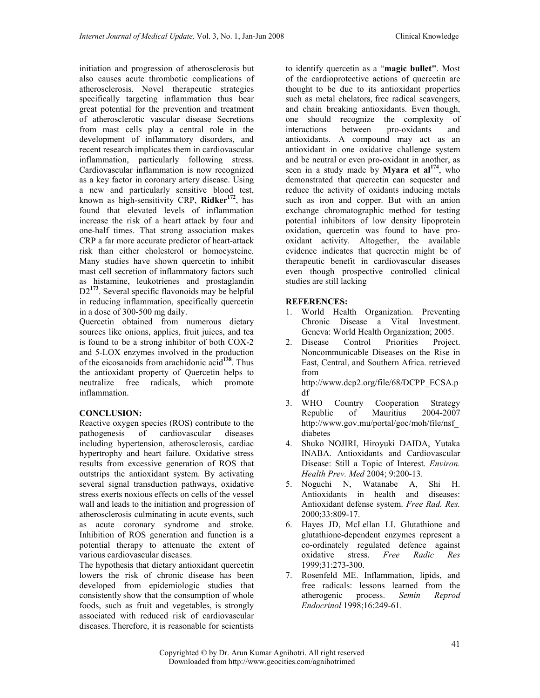initiation and progression of atherosclerosis but also causes acute thrombotic complications of atherosclerosis. Novel therapeutic strategies specifically targeting inflammation thus bear great potential for the prevention and treatment of atherosclerotic vascular disease Secretions from mast cells play a central role in the development of inflammatory disorders, and recent research implicates them in cardiovascular inflammation, particularly following stress. Cardiovascular inflammation is now recognized as a key factor in coronary artery disease. Using a new and particularly sensitive blood test, known as high-sensitivity CRP,  $\text{Ridker}^{172}$ , has found that elevated levels of inflammation increase the risk of a heart attack by four and one-half times. That strong association makes CRP a far more accurate predictor of heart-attack risk than either cholesterol or homocysteine. Many studies have shown quercetin to inhibit mast cell secretion of inflammatory factors such as histamine, leukotrienes and prostaglandin D2<sup>173</sup>. Several specific flavonoids may be helpful in reducing inflammation, specifically quercetin in a dose of 300-500 mg daily.

Quercetin obtained from numerous dietary sources like onions, applies, fruit juices, and tea is found to be a strong inhibitor of both COX-2 and 5-LOX enzymes involved in the production of the eicosanoids from arachidonic  $\text{acid}^{138}$ . Thus the antioxidant property of Quercetin helps to neutralize free radicals, which promote inflammation.

### CONCLUSION:

Reactive oxygen species (ROS) contribute to the pathogenesis of cardiovascular diseases including hypertension, atherosclerosis, cardiac hypertrophy and heart failure. Oxidative stress results from excessive generation of ROS that outstrips the antioxidant system. By activating several signal transduction pathways, oxidative stress exerts noxious effects on cells of the vessel wall and leads to the initiation and progression of atherosclerosis culminating in acute events, such as acute coronary syndrome and stroke. Inhibition of ROS generation and function is a potential therapy to attenuate the extent of various cardiovascular diseases.

The hypothesis that dietary antioxidant quercetin lowers the risk of chronic disease has been developed from epidemiologic studies that consistently show that the consumption of whole foods, such as fruit and vegetables, is strongly associated with reduced risk of cardiovascular diseases. Therefore, it is reasonable for scientists

to identify quercetin as a "magic bullet". Most of the cardioprotective actions of quercetin are thought to be due to its antioxidant properties such as metal chelators, free radical scavengers, and chain breaking antioxidants. Even though, one should recognize the complexity of interactions between pro-oxidants and antioxidants. A compound may act as an antioxidant in one oxidative challenge system and be neutral or even pro-oxidant in another, as seen in a study made by **Myara et al**<sup>174</sup>, who demonstrated that quercetin can sequester and reduce the activity of oxidants inducing metals such as iron and copper. But with an anion exchange chromatographic method for testing potential inhibitors of low density lipoprotein oxidation, quercetin was found to have prooxidant activity. Altogether, the available evidence indicates that quercetin might be of therapeutic benefit in cardiovascular diseases even though prospective controlled clinical studies are still lacking

#### REFERENCES:

- 1. World Health Organization. Preventing Chronic Disease a Vital Investment. Geneva: World Health Organization; 2005.
- 2. Disease Control Priorities Project. Noncommunicable Diseases on the Rise in East, Central, and Southern Africa. retrieved from http://www.dcp2.org/file/68/DCPP\_ECSA.p

df 3. WHO Country Cooperation Strategy<br>Republic of Mauritius 2004-2007 Republic of Mauritius 2004-2007 http://www.gov.mu/portal/goc/moh/file/nsf\_ diabetes

- 4. Shuko NOJIRI, Hiroyuki DAIDA, Yutaka INABA. Antioxidants and Cardiovascular Disease: Still a Topic of Interest. Environ. Health Prev. Med 2004; 9:200-13.
- 5. Noguchi N, Watanabe A, Shi H. Antioxidants in health and diseases: Antioxidant defense system. Free Rad. Res. 2000;33:809-17.
- 6. Hayes JD, McLellan LI. Glutathione and glutathione-dependent enzymes represent a co-ordinately regulated defence against<br>oxidative stress. Free Radic Res oxidative stress. Free Radic Res 1999;31:273-300.
- 7. Rosenfeld ME. Inflammation, lipids, and free radicals: lessons learned from the atherogenic process. Semin Reprod Endocrinol 1998;16:249-61.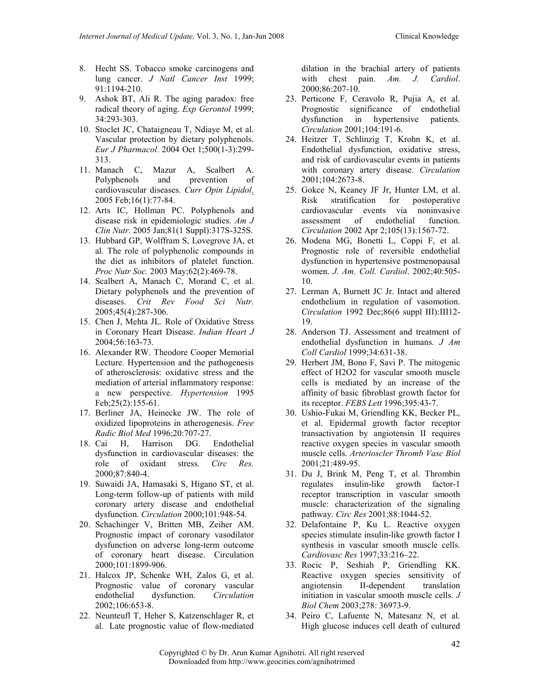- 8. Hecht SS. Tobacco smoke carcinogens and lung cancer. J Natl Cancer Inst 1999; 91:1194-210.
- 9. Ashok BT, Ali R. The aging paradox: free radical theory of aging. Exp Gerontol 1999; 34:293-303.
- 10. Stoclet JC, Chataigneau T, Ndiaye M, et al. Vascular protection by dietary polyphenols. Eur J Pharmacol. 2004 Oct 1;500(1-3):299- 313.
- 11. Manach C, Mazur A, Scalbert A. Polyphenols and prevention of cardiovascular diseases. Curr Opin Lipidol. 2005 Feb;16(1):77-84.
- 12. Arts IC, Hollman PC. Polyphenols and disease risk in epidemiologic studies. Am J Clin Nutr. 2005 Jan;81(1 Suppl):317S-325S.
- 13. Hubbard GP, Wolffram S, Lovegrove JA, et al. The role of polyphenolic compounds in the diet as inhibitors of platelet function. Proc Nutr Soc. 2003 May;62(2):469-78.
- 14. Scalbert A, Manach C, Morand C, et al. Dietary polyphenols and the prevention of diseases. Crit Rev Food Sci Nutr. 2005;45(4):287-306.
- 15. Chen J, Mehta JL. Role of Oxidative Stress in Coronary Heart Disease. Indian Heart J 2004;56:163-73.
- 16. Alexander RW. Theodore Cooper Memorial Lecture. Hypertension and the pathogenesis of atherosclerosis: oxidative stress and the mediation of arterial inflammatory response: a new perspective. Hypertension 1995 Feb;25(2):155-61.
- 17. Berliner JA, Heinecke JW. The role of oxidized lipoproteins in atherogenesis. Free Radic Biol Med 1996;20:707-27.
- 18. Cai H, Harrison DG. Endothelial dysfunction in cardiovascular diseases: the role of oxidant stress. Circ Res. 2000;87:840-4.
- 19. Suwaidi JA, Hamasaki S, Higano ST, et al. Long-term follow-up of patients with mild coronary artery disease and endothelial dysfunction. Circulation 2000;101:948-54.
- 20. Schachinger V, Britten MB, Zeiher AM. Prognostic impact of coronary vasodilator dysfunction on adverse long-term outcome of coronary heart disease. Circulation 2000;101:1899-906.
- 21. Halcox JP, Schenke WH, Zalos G, et al. Prognostic value of coronary vascular endothelial dysfunction. Circulation 2002;106:653-8.
- 22. Neunteufl T, Heher S, Katzenschlager R, et al. Late prognostic value of flow-mediated

dilation in the brachial artery of patients with chest pain. Am. J. Cardiol. 2000;86:207-10.

- 23. Perticone F, Ceravolo R, Pujia A, et al. Prognostic significance of endothelial dysfunction in hypertensive patients. Circulation 2001;104:191-6.
- 24. Heitzer T, Schlinzig T, Krohn K, et al. Endothelial dysfunction, oxidative stress, and risk of cardiovascular events in patients with coronary artery disease. Circulation 2001;104:2673-8.
- 25. Gokce N, Keaney JF Jr, Hunter LM, et al. Risk stratification for postoperative cardiovascular events via noninvasive assessment of endothelial function. Circulation 2002 Apr 2;105(13):1567-72.
- 26. Modena MG, Bonetti L, Coppi F, et al. Prognostic role of reversible endothelial dysfunction in hypertensive postmenopausal women. J. Am. Coll. Cardiol. 2002;40:505- 10.
- 27. Lerman A, Burnett JC Jr. Intact and altered endothelium in regulation of vasomotion. Circulation 1992 Dec;86(6 suppl III):III12- 19.
- 28. Anderson TJ. Assessment and treatment of endothelial dysfunction in humans. J Am Coll Cardiol 1999;34:631-38.
- 29. Herbert JM, Bono F, Savi P. The mitogenic effect of H2O2 for vascular smooth muscle cells is mediated by an increase of the affinity of basic fibroblast growth factor for its receptor. FEBS Lett 1996;395:43-7.
- 30. Ushio-Fukai M, Griendling KK, Becker PL, et al. Epidermal growth factor receptor transactivation by angiotensin II requires reactive oxygen species in vascular smooth muscle cells. Arterioscler Thromb Vasc Biol 2001;21:489-95.
- 31. Du J, Brink M, Peng T, et al. Thrombin regulates insulin-like growth factor-1 receptor transcription in vascular smooth muscle: characterization of the signaling pathway. Circ Res 2001;88:1044-52.
- 32. Delafontaine P, Ku L. Reactive oxygen species stimulate insulin-like growth factor I synthesis in vascular smooth muscle cells. Cardiovasc Res 1997;33:216–22.
- 33. Rocic P, Seshiah P, Griendling KK. Reactive oxygen species sensitivity of angiotensin II-dependent translation initiation in vascular smooth muscle cells. J Biol Chem 2003;278: 36973-9.
- 34. Peiro C, Lafuente N, Matesanz N, et al. High glucose induces cell death of cultured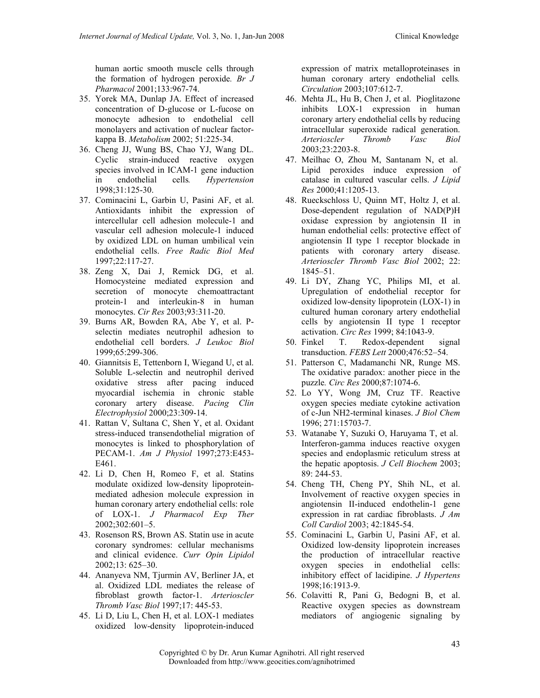- 35. Yorek MA, Dunlap JA. Effect of increased concentration of D-glucose or L-fucose on monocyte adhesion to endothelial cell monolayers and activation of nuclear factorkappa B. Metabolism 2002; 51:225-34.
- 36. Cheng JJ, Wung BS, Chao YJ, Wang DL. Cyclic strain-induced reactive oxygen species involved in ICAM-1 gene induction in endothelial cells. Hypertension 1998;31:125-30.
- 37. Cominacini L, Garbin U, Pasini AF, et al. Antioxidants inhibit the expression of intercellular cell adhesion molecule-1 and vascular cell adhesion molecule-1 induced by oxidized LDL on human umbilical vein endothelial cells. Free Radic Biol Med 1997;22:117-27.
- 38. Zeng X, Dai J, Remick DG, et al. Homocysteine mediated expression and secretion of monocyte chemoattractant protein-1 and interleukin-8 in human monocytes. Cir Res 2003;93:311-20.
- 39. Burns AR, Bowden RA, Abe Y, et al. Pselectin mediates neutrophil adhesion to endothelial cell borders. J Leukoc Biol 1999;65:299-306.
- 40. Giannitsis E, Tettenborn I, Wiegand U, et al. Soluble L-selectin and neutrophil derived oxidative stress after pacing induced myocardial ischemia in chronic stable coronary artery disease. Pacing Clin Electrophysiol 2000;23:309-14.
- 41. Rattan V, Sultana C, Shen Y, et al. Oxidant stress-induced transendothelial migration of monocytes is linked to phosphorylation of PECAM-1. Am J Physiol 1997;273:E453- E461.
- 42. Li D, Chen H, Romeo F, et al. Statins modulate oxidized low-density lipoproteinmediated adhesion molecule expression in human coronary artery endothelial cells: role of LOX-1. J Pharmacol Exp Ther 2002;302:601–5.
- 43. Rosenson RS, Brown AS. Statin use in acute coronary syndromes: cellular mechanisms and clinical evidence. Curr Opin Lipidol 2002;13: 625–30.
- 44. Ananyeva NM, Tjurmin AV, Berliner JA, et al. Oxidized LDL mediates the release of fibroblast growth factor-1. Arterioscler Thromb Vasc Biol 1997;17: 445-53.
- 45. Li D, Liu L, Chen H, et al. LOX-1 mediates oxidized low-density lipoprotein-induced

expression of matrix metalloproteinases in human coronary artery endothelial cells. Circulation 2003;107:612-7.

- 46. Mehta JL, Hu B, Chen J, et al. Pioglitazone inhibits LOX-1 expression in human coronary artery endothelial cells by reducing intracellular superoxide radical generation. Arterioscler Thromb Vasc Biol 2003;23:2203-8.
- 47. Meilhac O, Zhou M, Santanam N, et al. Lipid peroxides induce expression of catalase in cultured vascular cells. J Lipid Res 2000;41:1205-13.
- 48. Rueckschloss U, Quinn MT, Holtz J, et al. Dose-dependent regulation of NAD(P)H oxidase expression by angiotensin II in human endothelial cells: protective effect of angiotensin II type 1 receptor blockade in patients with coronary artery disease. Arterioscler Thromb Vasc Biol 2002; 22: 1845–51.
- 49. Li DY, Zhang YC, Philips MI, et al. Upregulation of endothelial receptor for oxidized low-density lipoprotein (LOX-1) in cultured human coronary artery endothelial cells by angiotensin II type 1 receptor activation. Circ Res 1999; 84:1043-9.
- 50. Finkel T. Redox-dependent signal transduction. FEBS Lett 2000;476:52–54.
- 51. Patterson C, Madamanchi NR, Runge MS. The oxidative paradox: another piece in the puzzle. Circ Res 2000;87:1074-6.
- 52. Lo YY, Wong JM, Cruz TF. Reactive oxygen species mediate cytokine activation of c-Jun NH2-terminal kinases. J Biol Chem 1996; 271:15703-7.
- 53. Watanabe Y, Suzuki O, Haruyama T, et al. Interferon-gamma induces reactive oxygen species and endoplasmic reticulum stress at the hepatic apoptosis. J Cell Biochem 2003; 89: 244-53.
- 54. Cheng TH, Cheng PY, Shih NL, et al. Involvement of reactive oxygen species in angiotensin II-induced endothelin-1 gene expression in rat cardiac fibroblasts. J Am Coll Cardiol 2003; 42:1845-54.
- 55. Cominacini L, Garbin U, Pasini AF, et al. Oxidized low-density lipoprotein increases the production of intracellular reactive oxygen species in endothelial cells: inhibitory effect of lacidipine. J Hypertens 1998;16:1913-9.
- 56. Colavitti R, Pani G, Bedogni B, et al. Reactive oxygen species as downstream mediators of angiogenic signaling by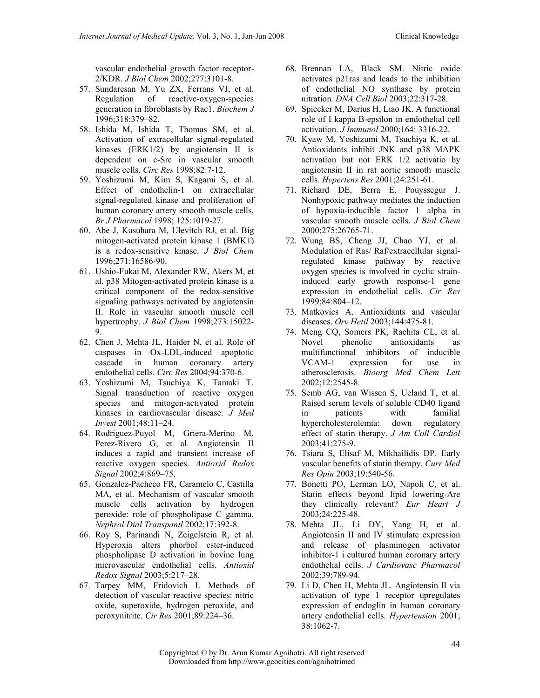vascular endothelial growth factor receptor-2/KDR. J Biol Chem 2002;277:3101-8.

- 57. Sundaresan M, Yu ZX, Ferrans VJ, et al. Regulation of reactive-oxygen-species generation in fibroblasts by Rac1. Biochem J 1996;318:379–82.
- 58. Ishida M, Ishida T, Thomas SM, et al. Activation of extracellular signal-regulated kinases (ERK1/2) by angiotensin II is dependent on c-Src in vascular smooth muscle cells. Circ Res 1998;82:7-12.
- 59. Yoshizumi M, Kim S, Kagami S, et al. Effect of endothelin-1 on extracellular signal-regulated kinase and proliferation of human coronary artery smooth muscle cells. Br J Pharmacol 1998; 125:1019-27.
- 60. Abe J, Kusuhara M, Ulevitch RJ, et al. Big mitogen-activated protein kinase 1 (BMK1) is a redox-sensitive kinase. J Biol Chem 1996;271:16586-90.
- 61. Ushio-Fukai M, Alexander RW, Akers M, et al. p38 Mitogen-activated protein kinase is a critical component of the redox-sensitive signaling pathways activated by angiotensin II. Role in vascular smooth muscle cell hypertrophy. J Biol Chem 1998;273:15022- 9.
- 62. Chen J, Mehta JL, Haider N, et al. Role of caspases in Ox-LDL-induced apoptotic cascade in human coronary artery endothelial cells. Circ Res 2004;94:370-6.
- 63. Yoshizumi M, Tsuchiya K, Tamaki T. Signal transduction of reactive oxygen species and mitogen-activated protein kinases in cardiovascular disease. J Med Invest 2001;48:11–24.
- 64. Rodriguez-Puyol M, Griera-Merino M, Perez-Rivero G, et al. Angiotensin II induces a rapid and transient increase of reactive oxygen species. Antioxid Redox Signal 2002;4:869-75.
- 65. Gonzalez-Pacheco FR, Caramelo C, Castilla MA, et al. Mechanism of vascular smooth muscle cells activation by hydrogen peroxide: role of phospholipase C gamma. Nephrol Dial Transpantl 2002;17:392-8.
- 66. Roy S, Parinandi N, Zeigelstein R, et al. Hyperoxia alters phorbol ester-induced phospholipase D activation in bovine lung microvascular endothelial cells. Antioxid Redox Signal 2003;5:217–28.
- 67. Tarpey MM, Fridovich I. Methods of detection of vascular reactive species: nitric oxide, superoxide, hydrogen peroxide, and peroxynitrite. Cir Res 2001;89:224–36.
- 68. Brennan LA, Black SM. Nitric oxide activates p21ras and leads to the inhibition of endothelial NO synthase by protein nitration. DNA Cell Biol 2003;22:317-28.
- 69. Spiecker M, Darius H, Liao JK. A functional role of I kappa B-epsilon in endothelial cell activation. J Immunol 2000;164: 3316-22.
- 70. Kyaw M, Yoshizumi M, Tsuchiya K, et al. Antioxidants inhibit JNK and p38 MAPK activation but not ERK 1/2 activatio by angiotensin II in rat aortic smooth muscle cells. Hypertens Res 2001;24:251-61.
- 71. Richard DE, Berra E, Pouyssegur J. Nonhypoxic pathway mediates the induction of hypoxia-inducible factor 1 alpha in vascular smooth muscle cells. J Biol Chem 2000;275:26765-71.
- 72. Wung BS, Cheng JJ, Chao YJ, et al. Modulation of Ras/ Raf/extracellular signalregulated kinase pathway by reactive oxygen species is involved in cyclic straininduced early growth response-1 gene expression in endothelial cells. Cir Res 1999;84:804–12.
- 73. Matkovics A. Antioxidants and vascular diseases. Orv Hetil 2003;144:475-81.
- 74. Meng CQ, Somers PK, Rachita CL, et al. Novel phenolic antioxidants as multifunctional inhibitors of inducible VCAM-1 expression for use in atherosclerosis. Bioorg Med Chem Lett 2002;12:2545-8.
- 75. Semb AG, van Wissen S, Ueland T, et al. Raised serum levels of soluble CD40 ligand<br>in patients with familial in patients hypercholesterolemia: down regulatory effect of statin therapy. J Am Coll Cardiol 2003;41:275-9.
- 76. Tsiara S, Elisaf M, Mikhailidis DP. Early vascular benefits of statin therapy. Curr Med Res Opin 2003;19:540-56.
- 77. Bonetti PO, Lerman LO, Napoli C, et al. Statin effects beyond lipid lowering-Are they clinically relevant? Eur Heart J 2003;24:225-48.
- 78. Mehta JL, Li DY, Yang H, et al. Angiotensin II and IV stimulate expression and release of plasminogen activator inhibitor-1 i cultured human coronary artery endothelial cells. J Cardiovasc Pharmacol 2002;39:789-94.
- 79. Li D, Chen H, Mehta JL. Angiotensin II via activation of type 1 receptor upregulates expression of endoglin in human coronary artery endothelial cells. Hypertension 2001; 38:1062-7.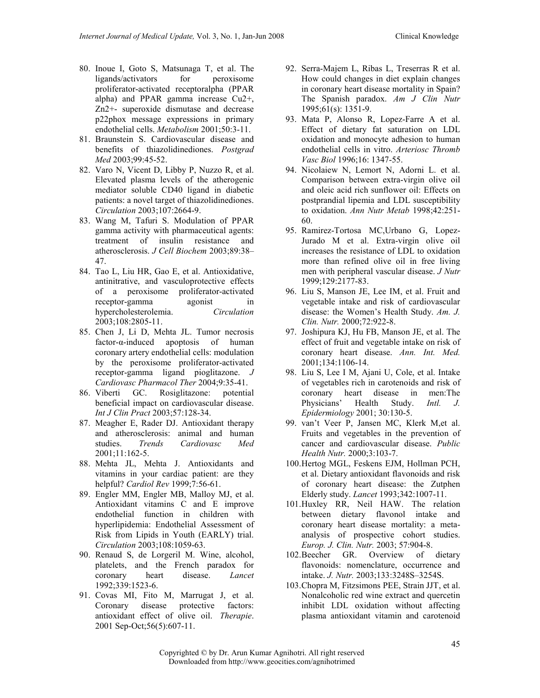- 80. Inoue I, Goto S, Matsunaga T, et al. The ligands/activators for peroxisome proliferator-activated receptoralpha (PPAR alpha) and PPAR gamma increase Cu2+, Zn2+- superoxide dismutase and decrease p22phox message expressions in primary endothelial cells. Metabolism 2001;50:3-11.
- 81. Braunstein S. Cardiovascular disease and benefits of thiazolidinediones. Postgrad Med 2003;99:45-52.
- 82. Varo N, Vicent D, Libby P, Nuzzo R, et al. Elevated plasma levels of the atherogenic mediator soluble CD40 ligand in diabetic patients: a novel target of thiazolidinediones. Circulation 2003;107:2664-9.
- 83. Wang M, Tafuri S. Modulation of PPAR gamma activity with pharmaceutical agents: treatment of insulin resistance and atherosclerosis. J Cell Biochem 2003;89:38– 47.
- 84. Tao L, Liu HR, Gao E, et al. Antioxidative, antinitrative, and vasculoprotective effects of a peroxisome proliferator-activated receptor-gamma agonist in hypercholesterolemia. Circulation 2003;108:2805-11.
- 85. Chen J, Li D, Mehta JL. Tumor necrosis factor-α-induced apoptosis of human coronary artery endothelial cells: modulation by the peroxisome proliferator-activated receptor-gamma ligand pioglitazone. J Cardiovasc Pharmacol Ther 2004;9:35-41.
- 86. Viberti GC. Rosiglitazone: potential beneficial impact on cardiovascular disease. Int J Clin Pract 2003;57:128-34.
- 87. Meagher E, Rader DJ. Antioxidant therapy and atherosclerosis: animal and human<br>studies. Trends Cardiovasc Med studies. Trends Cardiovasc Med 2001;11:162-5.
- 88. Mehta JL, Mehta J. Antioxidants and vitamins in your cardiac patient: are they helpful? Cardiol Rev 1999;7:56-61.
- 89. Engler MM, Engler MB, Malloy MJ, et al. Antioxidant vitamins C and E improve endothelial function in children with hyperlipidemia: Endothelial Assessment of Risk from Lipids in Youth (EARLY) trial. Circulation 2003;108:1059-63.
- 90. Renaud S, de Lorgeril M. Wine, alcohol, platelets, and the French paradox for coronary heart disease. Lancet 1992;339:1523-6.
- 91. Covas MI, Fito M, Marrugat J, et al. Coronary disease protective factors: antioxidant effect of olive oil. Therapie. 2001 Sep-Oct;56(5):607-11.
- 92. Serra-Majem L, Ribas L, Treserras R et al. How could changes in diet explain changes in coronary heart disease mortality in Spain? The Spanish paradox. Am J Clin Nutr 1995;61(s): 1351-9.
- 93. Mata P, Alonso R, Lopez-Farre A et al. Effect of dietary fat saturation on LDL oxidation and monocyte adhesion to human endothelial cells in vitro. Arteriosc Thromb Vasc Biol 1996;16: 1347-55.
- 94. Nicolaiew N, Lemort N, Adorni L. et al. Comparison between extra-virgin olive oil and oleic acid rich sunflower oil: Effects on postprandial lipemia and LDL susceptibility to oxidation. Ann Nutr Metab 1998;42:251- 60.
- 95. Ramirez-Tortosa MC,Urbano G, Lopez-Jurado M et al. Extra-virgin olive oil increases the resistance of LDL to oxidation more than refined olive oil in free living men with peripheral vascular disease. J Nutr 1999;129:2177-83.
- 96. Liu S, Manson JE, Lee IM, et al. Fruit and vegetable intake and risk of cardiovascular disease: the Women's Health Study. Am. J. Clin. Nutr. 2000;72:922-8.
- 97. Joshipura KJ, Hu FB, Manson JE, et al. The effect of fruit and vegetable intake on risk of coronary heart disease. Ann. Int. Med. 2001;134:1106-14.
- 98. Liu S, Lee I M, Ajani U, Cole, et al. Intake of vegetables rich in carotenoids and risk of coronary heart disease in men:The Physicians' Health Study. Intl. J. Epidermiology 2001; 30:130-5.
- 99. van't Veer P, Jansen MC, Klerk M,et al. Fruits and vegetables in the prevention of cancer and cardiovascular disease. Public Health Nutr. 2000;3:103-7.
- 100.Hertog MGL, Feskens EJM, Hollman PCH, et al. Dietary antioxidant flavonoids and risk of coronary heart disease: the Zutphen Elderly study. Lancet 1993;342:1007-11.
- 101.Huxley RR, Neil HAW. The relation between dietary flavonol intake and coronary heart disease mortality: a metaanalysis of prospective cohort studies. Europ. J. Clin. Nutr. 2003; 57:904-8.
- 102.Beecher GR. Overview of dietary flavonoids: nomenclature, occurrence and intake. J. Nutr. 2003;133:3248S–3254S.
- 103.Chopra M, Fitzsimons PEE, Strain JJT, et al. Nonalcoholic red wine extract and quercetin inhibit LDL oxidation without affecting plasma antioxidant vitamin and carotenoid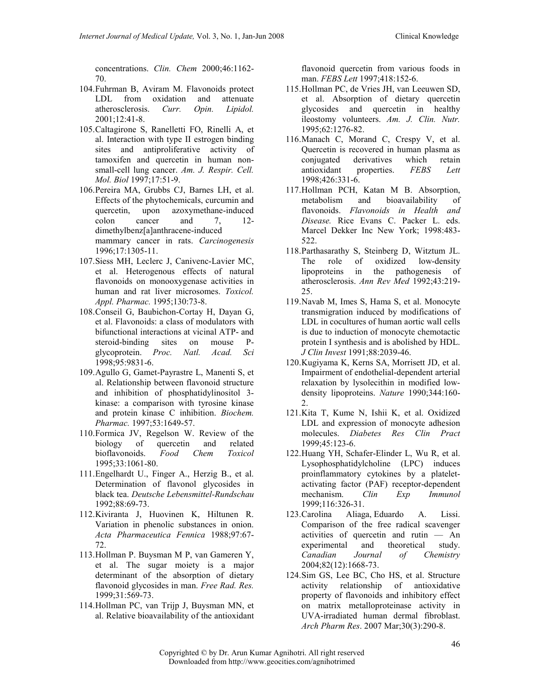concentrations. Clin. Chem 2000;46:1162- 70.

- 104.Fuhrman B, Aviram M. Flavonoids protect LDL from oxidation and attenuate atherosclerosis. Curr. Opin. Lipidol. 2001;12:41-8.
- 105.Caltagirone S, Ranelletti FO, Rinelli A, et al. Interaction with type II estrogen binding sites and antiproliferative activity of tamoxifen and quercetin in human nonsmall-cell lung cancer. Am. J. Respir. Cell. Mol. Biol 1997;17:51-9.
- 106.Pereira MA, Grubbs CJ, Barnes LH, et al. Effects of the phytochemicals, curcumin and quercetin, upon azoxymethane-induced colon cancer and 7, 12 dimethylbenz[a]anthracene-induced mammary cancer in rats. Carcinogenesis 1996;17:1305-11.
- 107.Siess MH, Leclerc J, Canivenc-Lavier MC, et al. Heterogenous effects of natural flavonoids on monooxygenase activities in human and rat liver microsomes. Toxicol. Appl. Pharmac. 1995;130:73-8.
- 108.Conseil G, Baubichon-Cortay H, Dayan G, et al. Flavonoids: a class of modulators with bifunctional interactions at vicinal ATP- and steroid-binding sites on mouse Pglycoprotein. Proc. Natl. Acad. Sci 1998;95:9831-6.
- 109.Agullo G, Gamet-Payrastre L, Manenti S, et al. Relationship between flavonoid structure and inhibition of phosphatidylinositol 3 kinase: a comparison with tyrosine kinase and protein kinase C inhibition. Biochem. Pharmac. 1997;53:1649-57.
- 110.Formica JV, Regelson W. Review of the biology of quercetin and related bioflavonoids. Food Chem Toxicol 1995;33:1061-80.
- 111.Engelhardt U., Finger A., Herzig B., et al. Determination of flavonol glycosides in black tea. Deutsche Lebensmittel-Rundschau 1992;88:69-73.
- 112.Kiviranta J, Huovinen K, Hiltunen R. Variation in phenolic substances in onion. Acta Pharmaceutica Fennica 1988;97:67- 72.
- 113.Hollman P. Buysman M P, van Gameren Y, et al. The sugar moiety is a major determinant of the absorption of dietary flavonoid glycosides in man. Free Rad. Res. 1999;31:569-73.
- 114.Hollman PC, van Trijp J, Buysman MN, et al. Relative bioavailability of the antioxidant

flavonoid quercetin from various foods in man. FEBS Lett 1997;418:152-6.

- 115.Hollman PC, de Vries JH, van Leeuwen SD, et al. Absorption of dietary quercetin glycosides and quercetin in healthy ileostomy volunteers. Am. J. Clin. Nutr. 1995;62:1276-82.
- 116.Manach C, Morand C, Crespy V, et al. Quercetin is recovered in human plasma as conjugated derivatives which retain antioxidant properties. FEBS Lett 1998;426:331-6.
- 117.Hollman PCH, Katan M B. Absorption, metabolism and bioavailability of flavonoids. Flavonoids in Health and Disease. Rice Evans C. Packer L. eds. Marcel Dekker Inc New York; 1998:483- 522.
- 118. Parthasarathy S, Steinberg D, Witztum JL.<br>The role of oxidized low-density The role of oxidized low-density lipoproteins in the pathogenesis of atherosclerosis. Ann Rev Med 1992;43:219- 25.
- 119.Navab M, Imes S, Hama S, et al. Monocyte transmigration induced by modifications of LDL in cocultures of human aortic wall cells is due to induction of monocyte chemotactic protein I synthesis and is abolished by HDL. J Clin Invest 1991;88:2039-46.
- 120.Kugiyama K, Kerns SA, Morrisett JD, et al. Impairment of endothelial-dependent arterial relaxation by lysolecithin in modified lowdensity lipoproteins. Nature 1990;344:160-  $\mathcal{D}$
- 121.Kita T, Kume N, Ishii K, et al. Oxidized LDL and expression of monocyte adhesion molecules. Diabetes Res Clin Pract 1999;45:123-6.
- 122.Huang YH, Schafer-Elinder L, Wu R, et al. Lysophosphatidylcholine (LPC) induces proinflammatory cytokines by a plateletactivating factor (PAF) receptor-dependent mechanism. Clin Exp Immunol 1999;116:326-31.
- 123.Carolina Aliaga, Eduardo A. Lissi. Comparison of the free radical scavenger activities of quercetin and rutin — An experimental and theoretical study. Canadian Journal of Chemistry 2004;82(12):1668-73.
- 124.Sim GS, Lee BC, Cho HS, et al. Structure activity relationship of antioxidative property of flavonoids and inhibitory effect on matrix metalloproteinase activity in UVA-irradiated human dermal fibroblast. Arch Pharm Res. 2007 Mar;30(3):290-8.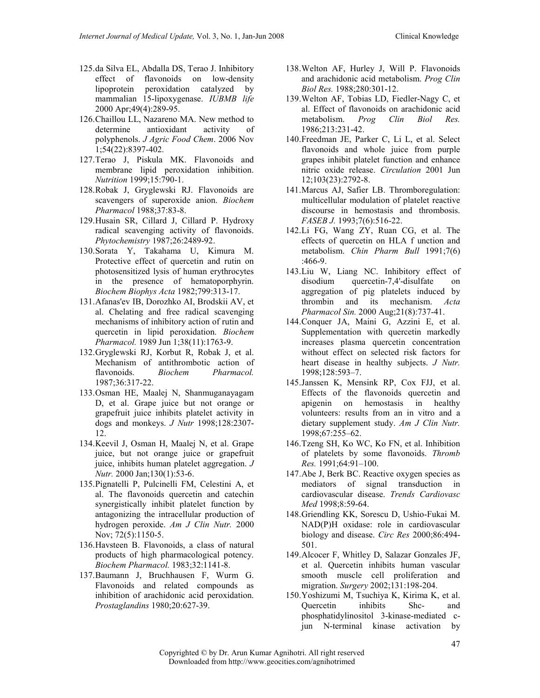- 125.da Silva EL, Abdalla DS, Terao J. Inhibitory effect of flavonoids on low-density lipoprotein peroxidation catalyzed by mammalian 15-lipoxygenase. IUBMB life 2000 Apr;49(4):289-95.
- 126.Chaillou LL, Nazareno MA. New method to determine antioxidant activity of polyphenols. J Agric Food Chem. 2006 Nov 1;54(22):8397-402.
- 127.Terao J, Piskula MK. Flavonoids and membrane lipid peroxidation inhibition. Nutrition 1999;15:790-1.
- 128.Robak J, Gryglewski RJ. Flavonoids are scavengers of superoxide anion. Biochem Pharmacol 1988;37:83-8.
- 129.Husain SR, Cillard J, Cillard P. Hydroxy radical scavenging activity of flavonoids. Phytochemistry 1987;26:2489-92.
- 130.Sorata Y, Takahama U, Kimura M. Protective effect of quercetin and rutin on photosensitized lysis of human erythrocytes in the presence of hematoporphyrin. Biochem Biophys Acta 1982;799:313-17.
- 131.Afanas'ev IB, Dorozhko AI, Brodskii AV, et al. Chelating and free radical scavenging mechanisms of inhibitory action of rutin and quercetin in lipid peroxidation. Biochem Pharmacol. 1989 Jun 1;38(11):1763-9.
- 132.Gryglewski RJ, Korbut R, Robak J, et al. Mechanism of antithrombotic action of flavonoids. Biochem Pharmacol. 1987;36:317-22.
- 133.Osman HE, Maalej N, Shanmuganayagam D, et al. Grape juice but not orange or grapefruit juice inhibits platelet activity in dogs and monkeys. J Nutr 1998;128:2307- 12.
- 134.Keevil J, Osman H, Maalej N, et al. Grape juice, but not orange juice or grapefruit juice, inhibits human platelet aggregation. J Nutr. 2000 Jan;130(1):53-6.
- 135.Pignatelli P, Pulcinelli FM, Celestini A, et al. The flavonoids quercetin and catechin synergistically inhibit platelet function by antagonizing the intracellular production of hydrogen peroxide. Am J Clin Nutr. 2000 Nov; 72(5):1150-5.
- 136.Havsteen B. Flavonoids, a class of natural products of high pharmacological potency. Biochem Pharmacol. 1983;32:1141-8.
- 137.Baumann J, Bruchhausen F, Wurm G. Flavonoids and related compounds as inhibition of arachidonic acid peroxidation. Prostaglandins 1980;20:627-39.
- 138.Welton AF, Hurley J, Will P. Flavonoids and arachidonic acid metabolism. Prog Clin Biol Res. 1988;280:301-12.
- 139.Welton AF, Tobias LD, Fiedler-Nagy C, et al. Effect of flavonoids on arachidonic acid metabolism. Prog Clin Biol Res. 1986;213:231-42.
- 140.Freedman JE, Parker C, Li L, et al. Select flavonoids and whole juice from purple grapes inhibit platelet function and enhance nitric oxide release. Circulation 2001 Jun 12;103(23):2792-8.
- 141.Marcus AJ, Safier LB. Thromboregulation: multicellular modulation of platelet reactive discourse in hemostasis and thrombosis. FASEB J. 1993;7(6):516-22.
- 142.Li FG, Wang ZY, Ruan CG, et al. The effects of quercetin on HLA f unction and metabolism. Chin Pharm Bull 1991;7(6) :466-9.
- 143.Liu W, Liang NC. Inhibitory effect of disodium quercetin-7,4'-disulfate on aggregation of pig platelets induced by thrombin and its mechanism. Acta Pharmacol Sin. 2000 Aug;21(8):737-41.
- 144.Conquer JA, Maini G, Azzini E, et al. Supplementation with quercetin markedly increases plasma quercetin concentration without effect on selected risk factors for heart disease in healthy subjects. J Nutr. 1998;128:593–7.
- 145.Janssen K, Mensink RP, Cox FJJ, et al. Effects of the flavonoids quercetin and apigenin on hemostasis in healthy volunteers: results from an in vitro and a dietary supplement study. Am J Clin Nutr. 1998;67:255–62.
- 146.Tzeng SH, Ko WC, Ko FN, et al. Inhibition of platelets by some flavonoids. Thromb Res. 1991;64:91–100.
- 147.Abe J, Berk BC. Reactive oxygen species as mediators of signal transduction in cardiovascular disease. Trends Cardiovasc Med 1998;8:59-64.
- 148.Griendling KK, Sorescu D, Ushio-Fukai M. NAD(P)H oxidase: role in cardiovascular biology and disease. Circ Res 2000;86:494- 501.
- 149.Alcocer F, Whitley D, Salazar Gonzales JF, et al. Quercetin inhibits human vascular smooth muscle cell proliferation and migration. Surgery 2002;131:198-204.
- 150.Yoshizumi M, Tsuchiya K, Kirima K, et al. Quercetin inhibits Shc- and phosphatidylinositol 3-kinase-mediated cjun N-terminal kinase activation by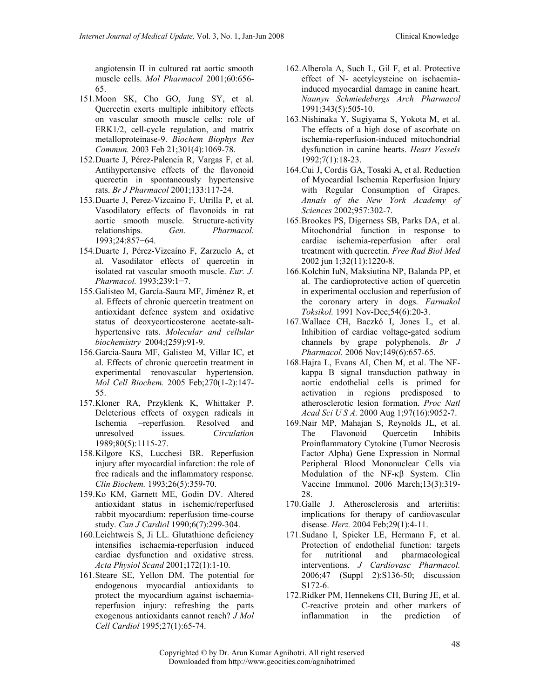angiotensin II in cultured rat aortic smooth muscle cells. Mol Pharmacol 2001;60:656- 65.

- 151.Moon SK, Cho GO, Jung SY, et al. Quercetin exerts multiple inhibitory effects on vascular smooth muscle cells: role of ERK1/2, cell-cycle regulation, and matrix metalloproteinase-9. Biochem Biophys Res Commun. 2003 Feb 21;301(4):1069-78.
- 152.Duarte J, Pérez-Palencia R, Vargas F, et al. Antihypertensive effects of the flavonoid quercetin in spontaneously hypertensive rats. Br J Pharmacol 2001;133:117-24.
- 153.Duarte J, Perez-Vizcaino F, Utrilla P, et al. Vasodilatory effects of flavonoids in rat aortic smooth muscle. Structure-activity relationships. Gen. Pharmacol. 1993;24:857−64.
- 154.Duarte J, Pérez-Vizcaíno F, Zarzuelo A, et al. Vasodilator effects of quercetin in isolated rat vascular smooth muscle. Eur. J. Pharmacol. 1993;239:1−7.
- 155.Galisteo M, García-Saura MF, Jiménez R, et al. Effects of chronic quercetin treatment on antioxidant defence system and oxidative status of deoxycorticosterone acetate-salthypertensive rats. Molecular and cellular biochemistry 2004;(259):91-9.
- 156.Garcia-Saura MF, Galisteo M, Villar IC, et al. Effects of chronic quercetin treatment in experimental renovascular hypertension. Mol Cell Biochem. 2005 Feb;270(1-2):147- 55.
- 157.Kloner RA, Przyklenk K, Whittaker P. Deleterious effects of oxygen radicals in Ischemia –reperfusion. Resolved and unresolved issues. Circulation 1989;80(5):1115-27.
- 158.Kilgore KS, Lucchesi BR. Reperfusion injury after myocardial infarction: the role of free radicals and the inflammatory response. Clin Biochem. 1993;26(5):359-70.
- 159.Ko KM, Garnett ME, Godin DV. Altered antioxidant status in ischemic/reperfused rabbit myocardium: reperfusion time-course study. Can J Cardiol 1990;6(7):299-304.
- 160.Leichtweis S, Ji LL. Glutathione deficiency intensifies ischaemia-reperfusion induced cardiac dysfunction and oxidative stress. Acta Physiol Scand 2001;172(1):1-10.
- 161.Steare SE, Yellon DM. The potential for endogenous myocardial antioxidants to protect the myocardium against ischaemiareperfusion injury: refreshing the parts exogenous antioxidants cannot reach? J Mol Cell Cardiol 1995;27(1):65-74.
- 162.Alberola A, Such L, Gil F, et al. Protective effect of N- acetylcysteine on ischaemiainduced myocardial damage in canine heart. Naunyn Schmiedebergs Arch Pharmacol 1991;343(5):505-10.
- 163.Nishinaka Y, Sugiyama S, Yokota M, et al. The effects of a high dose of ascorbate on ischemia-reperfusion-induced mitochondrial dysfunction in canine hearts. Heart Vessels 1992;7(1):18-23.
- 164.Cui J, Cordis GA, Tosaki A, et al. Reduction of Myocardial Ischemia Reperfusion Injury with Regular Consumption of Grapes. Annals of the New York Academy of Sciences 2002;957:302-7.
- 165.Brookes PS, Digerness SB, Parks DA, et al. Mitochondrial function in response to cardiac ischemia-reperfusion after oral treatment with quercetin. Free Rad Biol Med 2002 jun 1;32(11):1220-8.
- 166.Kolchin IuN, Maksiutina NP, Balanda PP, et al. The cardioprotective action of quercetin in experimental occlusion and reperfusion of the coronary artery in dogs. Farmakol Toksikol. 1991 Nov-Dec;54(6):20-3.
- 167.Wallace CH, Baczkó I, Jones L, et al. Inhibition of cardiac voltage-gated sodium channels by grape polyphenols. Br J Pharmacol. 2006 Nov;149(6):657-65.
- 168.Hajra L, Evans AI, Chen M, et al. The NFkappa B signal transduction pathway in aortic endothelial cells is primed for activation in regions predisposed to atherosclerotic lesion formation. Proc Natl Acad Sci U S A. 2000 Aug 1;97(16):9052-7.
- 169.Nair MP, Mahajan S, Reynolds JL, et al. The Flavonoid Quercetin Inhibits Proinflammatory Cytokine (Tumor Necrosis Factor Alpha) Gene Expression in Normal Peripheral Blood Mononuclear Cells via Modulation of the NF-κβ System. Clin Vaccine Immunol. 2006 March;13(3):319- 28
- 170.Galle J. Atherosclerosis and arteriitis: implications for therapy of cardiovascular disease. Herz. 2004 Feb;29(1):4-11.
- 171.Sudano I, Spieker LE, Hermann F, et al. Protection of endothelial function: targets for nutritional and pharmacological interventions. J Cardiovasc Pharmacol. 2006;47 (Suppl 2):S136-50; discussion S172-6.
- 172.Ridker PM, Hennekens CH, Buring JE, et al. C-reactive protein and other markers of inflammation in the prediction of